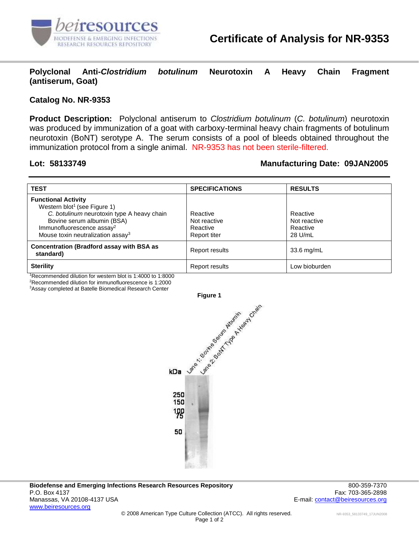

**Polyclonal Anti-***Clostridium botulinum* **Neurotoxin A Heavy Chain Fragment (antiserum, Goat)**

## **Catalog No. NR-9353**

**Product Description:** Polyclonal antiserum to *Clostridium botulinum* (*C. botulinum*) neurotoxin was produced by immunization of a goat with carboxy-terminal heavy chain fragments of botulinum neurotoxin (BoNT) serotype A. The serum consists of a pool of bleeds obtained throughout the immunization protocol from a single animal. NR-9353 has not been sterile-filtered.

# **Lot: 58133749 Manufacturing Date: 09JAN2005**

| <b>TEST</b>                                                                                                                                                                                                                                  | <b>SPECIFICATIONS</b>                                | <b>RESULTS</b>                                  |
|----------------------------------------------------------------------------------------------------------------------------------------------------------------------------------------------------------------------------------------------|------------------------------------------------------|-------------------------------------------------|
| <b>Functional Activity</b><br>Western blot <sup>1</sup> (see Figure 1)<br>C. botulinum neurotoxin type A heavy chain<br>Bovine serum albumin (BSA)<br>Immunofluorescence assay <sup>2</sup><br>Mouse toxin neutralization assay <sup>3</sup> | Reactive<br>Not reactive<br>Reactive<br>Report titer | Reactive<br>Not reactive<br>Reactive<br>28 U/mL |
| <b>Concentration (Bradford assay with BSA as</b><br>standard)                                                                                                                                                                                | Report results                                       | $33.6$ mg/mL                                    |
| <b>Sterility</b><br>$10 - 10$ and $1 - 11$ $11 - 11$ and $1 - 11$ and $1 - 11$ and $1 - 11$ and $1 - 1000$                                                                                                                                   | Report results                                       | _ow bioburden                                   |

<sup>1</sup>Recommended dilution for western blot is 1:4000 to 1:8000

<sup>2</sup>Recommended dilution for immunofluorescence is 1:2000

<sup>3</sup>Assay completed at Batelle Biomedical Research Center



**Biodefense and Emerging Infections Research Resources Repository** 800-359-7370 P.O. Box 4137 Fax: 703-365-2898 Manassas, VA 20108-4137 USA E-mail: [contact@beiresources.org](mailto:contact@beiresources.org) E-mail: contact@beiresources.org [www.beiresources.org](http://www.beiresources.org/)